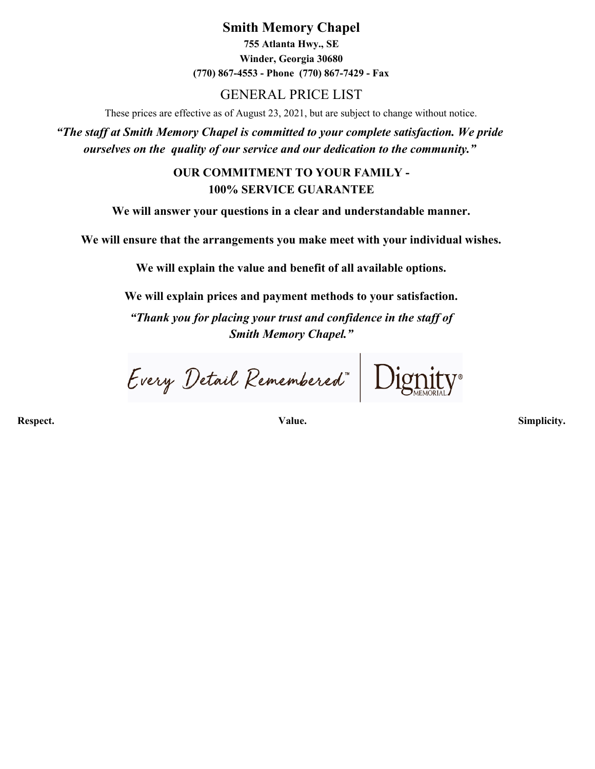**Smith Memory Chapel 755 Atlanta Hwy., SE Winder, Georgia 30680 (770) 867-4553 - Phone (770) 867-7429 - Fax**

## GENERAL PRICE LIST

These prices are effective as of August 23, 2021, but are subject to change without notice.

*"The staff at Smith Memory Chapel is committed to your complete satisfaction. We pride ourselves on the quality of our service and our dedication to the community."*

> **OUR COMMITMENT TO YOUR FAMILY - 100% SERVICE GUARANTEE**

**We will answer your questions in a clear and understandable manner.**

**We will ensure that the arrangements you make meet with your individual wishes.**

**We will explain the value and benefit of all available options.**

**We will explain prices and payment methods to your satisfaction.**

*"Thank you for placing your trust and confidence in the staff of Smith Memory Chapel."*

Every Detail Remembered"

**Respect. Value. Simplicity.**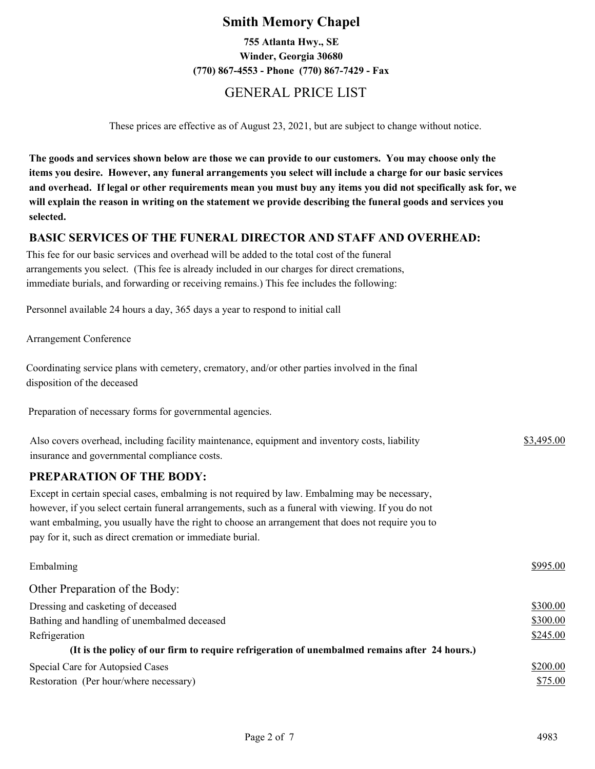## **Smith Memory Chapel**

**755 Atlanta Hwy., SE Winder, Georgia 30680 (770) 867-4553 - Phone (770) 867-7429 - Fax**

## GENERAL PRICE LIST

These prices are effective as of August 23, 2021, but are subject to change without notice.

**The goods and services shown below are those we can provide to our customers. You may choose only the items you desire. However, any funeral arrangements you select will include a charge for our basic services and overhead. If legal or other requirements mean you must buy any items you did not specifically ask for, we will explain the reason in writing on the statement we provide describing the funeral goods and services you selected.**

#### **BASIC SERVICES OF THE FUNERAL DIRECTOR AND STAFF AND OVERHEAD:**

This fee for our basic services and overhead will be added to the total cost of the funeral arrangements you select. (This fee is already included in our charges for direct cremations, immediate burials, and forwarding or receiving remains.) This fee includes the following:

Personnel available 24 hours a day, 365 days a year to respond to initial call

Arrangement Conference

Coordinating service plans with cemetery, crematory, and/or other parties involved in the final disposition of the deceased

Preparation of necessary forms for governmental agencies.

| Also covers overhead, including facility maintenance, equipment and inventory costs, liability | \$3,495.00 |
|------------------------------------------------------------------------------------------------|------------|
| insurance and governmental compliance costs.                                                   |            |

#### **PREPARATION OF THE BODY:**

Except in certain special cases, embalming is not required by law. Embalming may be necessary, however, if you select certain funeral arrangements, such as a funeral with viewing. If you do not want embalming, you usually have the right to choose an arrangement that does not require you to pay for it, such as direct cremation or immediate burial.

| Embalming                                                                                     | \$995.00 |
|-----------------------------------------------------------------------------------------------|----------|
| Other Preparation of the Body:                                                                |          |
| Dressing and casketing of deceased                                                            | \$300.00 |
| Bathing and handling of unembalmed deceased                                                   | \$300.00 |
| Refrigeration                                                                                 | \$245.00 |
| (It is the policy of our firm to require refrigeration of unembalmed remains after 24 hours.) |          |
| Special Care for Autopsied Cases                                                              | \$200.00 |
| Restoration (Per hour/where necessary)                                                        | \$75.00  |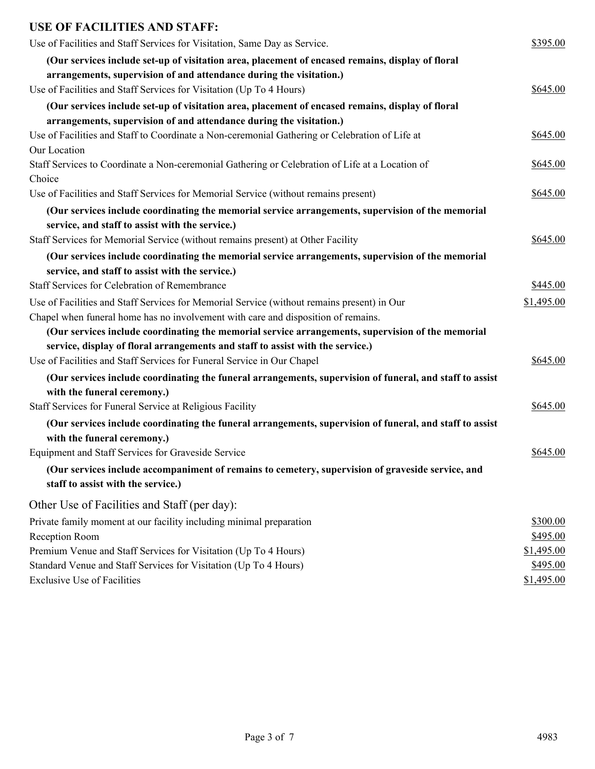| <b>USE OF FACILITIES AND STAFF:</b>                                                                       |            |
|-----------------------------------------------------------------------------------------------------------|------------|
| Use of Facilities and Staff Services for Visitation, Same Day as Service.                                 | \$395.00   |
| (Our services include set-up of visitation area, placement of encased remains, display of floral          |            |
| arrangements, supervision of and attendance during the visitation.)                                       |            |
| Use of Facilities and Staff Services for Visitation (Up To 4 Hours)                                       | \$645.00   |
| (Our services include set-up of visitation area, placement of encased remains, display of floral          |            |
| arrangements, supervision of and attendance during the visitation.)                                       |            |
| Use of Facilities and Staff to Coordinate a Non-ceremonial Gathering or Celebration of Life at            | \$645.00   |
| Our Location                                                                                              |            |
| Staff Services to Coordinate a Non-ceremonial Gathering or Celebration of Life at a Location of<br>Choice | \$645.00   |
| Use of Facilities and Staff Services for Memorial Service (without remains present)                       | \$645.00   |
| (Our services include coordinating the memorial service arrangements, supervision of the memorial         |            |
| service, and staff to assist with the service.)                                                           |            |
| Staff Services for Memorial Service (without remains present) at Other Facility                           | \$645.00   |
| (Our services include coordinating the memorial service arrangements, supervision of the memorial         |            |
| service, and staff to assist with the service.)                                                           |            |
| Staff Services for Celebration of Remembrance                                                             | \$445.00   |
| Use of Facilities and Staff Services for Memorial Service (without remains present) in Our                | \$1,495.00 |
| Chapel when funeral home has no involvement with care and disposition of remains.                         |            |
| (Our services include coordinating the memorial service arrangements, supervision of the memorial         |            |
| service, display of floral arrangements and staff to assist with the service.)                            |            |
| Use of Facilities and Staff Services for Funeral Service in Our Chapel                                    | \$645.00   |
| (Our services include coordinating the funeral arrangements, supervision of funeral, and staff to assist  |            |
| with the funeral ceremony.)                                                                               |            |
| Staff Services for Funeral Service at Religious Facility                                                  | \$645.00   |
| (Our services include coordinating the funeral arrangements, supervision of funeral, and staff to assist  |            |
| with the funeral ceremony.)                                                                               |            |
| Equipment and Staff Services for Graveside Service                                                        | \$645.00   |
| (Our services include accompaniment of remains to cemetery, supervision of graveside service, and         |            |
| staff to assist with the service.)                                                                        |            |
| Other Use of Facilities and Staff (per day):                                                              |            |
| Private family moment at our facility including minimal preparation                                       | \$300.00   |
| Reception Room                                                                                            | \$495.00   |
| Premium Venue and Staff Services for Visitation (Up To 4 Hours)                                           | \$1,495.00 |
| Standard Venue and Staff Services for Visitation (Up To 4 Hours)                                          | \$495.00   |
| <b>Exclusive Use of Facilities</b>                                                                        | \$1,495.00 |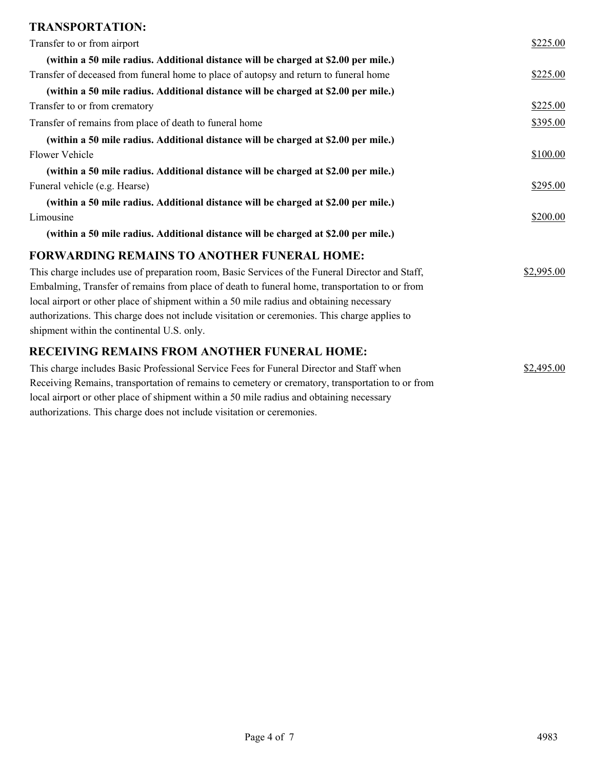# **TRANSPORTATION:**

| TINARDI UNTATIUR.                                                                                |            |
|--------------------------------------------------------------------------------------------------|------------|
| Transfer to or from airport                                                                      | \$225.00   |
| (within a 50 mile radius. Additional distance will be charged at \$2.00 per mile.)               |            |
| Transfer of deceased from funeral home to place of autopsy and return to funeral home            | \$225.00   |
| (within a 50 mile radius. Additional distance will be charged at \$2.00 per mile.)               |            |
| Transfer to or from crematory                                                                    | \$225.00   |
| Transfer of remains from place of death to funeral home                                          | \$395.00   |
| (within a 50 mile radius. Additional distance will be charged at \$2.00 per mile.)               |            |
| <b>Flower Vehicle</b>                                                                            | \$100.00   |
| (within a 50 mile radius. Additional distance will be charged at \$2.00 per mile.)               |            |
| Funeral vehicle (e.g. Hearse)                                                                    | \$295.00   |
| (within a 50 mile radius. Additional distance will be charged at \$2.00 per mile.)               |            |
| Limousine                                                                                        | \$200.00   |
| (within a 50 mile radius. Additional distance will be charged at \$2.00 per mile.)               |            |
| <b>FORWARDING REMAINS TO ANOTHER FUNERAL HOME:</b>                                               |            |
| This charge includes use of preparation room, Basic Services of the Funeral Director and Staff,  | \$2,995.00 |
| Embalming, Transfer of remains from place of death to funeral home, transportation to or from    |            |
| local airport or other place of shipment within a 50 mile radius and obtaining necessary         |            |
| authorizations. This charge does not include visitation or ceremonies. This charge applies to    |            |
| shipment within the continental U.S. only.                                                       |            |
| RECEIVING REMAINS FROM ANOTHER FUNERAL HOME:                                                     |            |
| This charge includes Basic Professional Service Fees for Funeral Director and Staff when         | \$2,495.00 |
| Receiving Remains, transportation of remains to cemetery or crematory, transportation to or from |            |

local airport or other place of shipment within a 50 mile radius and obtaining necessary

authorizations. This charge does not include visitation or ceremonies.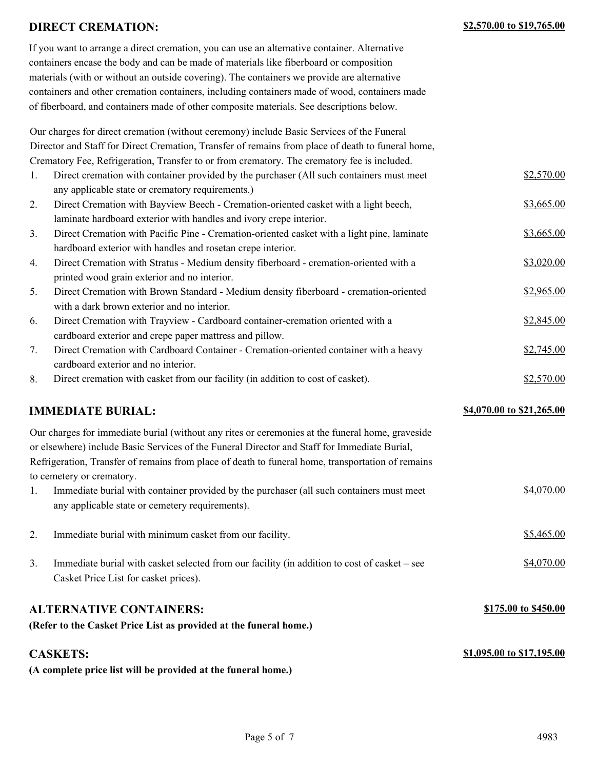#### **DIRECT CREMATION: \$2,570.00 to \$19,765.00**

If you want to arrange a direct cremation, you can use an alternative container. Alternative containers encase the body and can be made of materials like fiberboard or composition materials (with or without an outside covering). The containers we provide are alternative containers and other cremation containers, including containers made of wood, containers made of fiberboard, and containers made of other composite materials. See descriptions below.

Our charges for direct cremation (without ceremony) include Basic Services of the Funeral Director and Staff for Direct Cremation, Transfer of remains from place of death to funeral home, Crematory Fee, Refrigeration, Transfer to or from crematory. The crematory fee is included.

| 1. | Direct cremation with container provided by the purchaser (All such containers must meet   | \$2,570.00 |
|----|--------------------------------------------------------------------------------------------|------------|
|    | any applicable state or crematory requirements.)                                           |            |
| 2. | Direct Cremation with Bayview Beech - Cremation-oriented casket with a light beech,        | \$3,665.00 |
|    | laminate hardboard exterior with handles and ivory crepe interior.                         |            |
| 3. | Direct Cremation with Pacific Pine - Cremation-oriented casket with a light pine, laminate | \$3,665.00 |
|    | hardboard exterior with handles and rosetan crepe interior.                                |            |
| 4. | Direct Cremation with Stratus - Medium density fiberboard - cremation-oriented with a      | \$3,020.00 |
|    | printed wood grain exterior and no interior.                                               |            |
| 5. | Direct Cremation with Brown Standard - Medium density fiberboard - cremation-oriented      | \$2,965.00 |
|    | with a dark brown exterior and no interior.                                                |            |
| 6. | Direct Cremation with Trayview - Cardboard container-cremation oriented with a             | \$2,845.00 |
|    | cardboard exterior and crepe paper mattress and pillow.                                    |            |
| 7. | Direct Cremation with Cardboard Container - Cremation-oriented container with a heavy      | \$2,745.00 |
|    | cardboard exterior and no interior.                                                        |            |
| 8. | Direct cremation with casket from our facility (in addition to cost of casket).            | \$2,570.00 |

#### **IMMEDIATE BURIAL:**  $\frac{$4,070.00 \text{ to } $21,265.00}{}$

**\$1,095.00 to \$17,195.00**

| Our charges for immediate burial (without any rites or ceremonies at the funeral home, graveside  |     |
|---------------------------------------------------------------------------------------------------|-----|
| or elsewhere) include Basic Services of the Funeral Director and Staff for Immediate Burial,      |     |
| Refrigeration, Transfer of remains from place of death to funeral home, transportation of remains |     |
| to cemetery or crematory.                                                                         |     |
| Immediate burial with container provided by the purchaser (all such containers must meet          | \$4 |

- 1. Immediate burial with container provided by the purchaser (all such containers must meet  $$4,070.00$ any applicable state or cemetery requirements).
- 2. Immediate burial with minimum casket from our facility.  $$5,465.00$ 3. Immediate burial with casket selected from our facility (in addition to cost of casket – see  $$4,070.00$ Casket Price List for casket prices).

#### **ALTERNATIVE CONTAINERS: \$175.00 to \$450.00**

**(Refer to the Casket Price List as provided at the funeral home.)**

#### **CASKETS:**

**(A complete price list will be provided at the funeral home.)**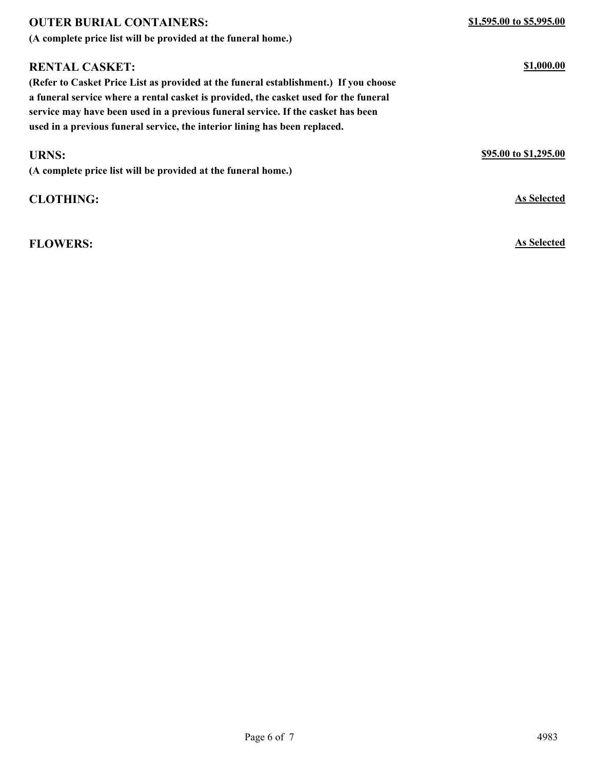| <b>OUTER BURIAL CONTAINERS:</b>                                                      | \$1,595.00 to \$5,995.00 |
|--------------------------------------------------------------------------------------|--------------------------|
| (A complete price list will be provided at the funeral home.)                        |                          |
| <b>RENTAL CASKET:</b>                                                                | \$1,000.00               |
| (Refer to Casket Price List as provided at the funeral establishment.) If you choose |                          |
| a funeral service where a rental casket is provided, the casket used for the funeral |                          |
| service may have been used in a previous funeral service. If the casket has been     |                          |
| used in a previous funeral service, the interior lining has been replaced.           |                          |
| <b>URNS:</b>                                                                         | \$95.00 to \$1,295.00    |
| (A complete price list will be provided at the funeral home.)                        |                          |
| <b>CLOTHING:</b>                                                                     | <b>As Selected</b>       |
|                                                                                      |                          |

**FLOWERS: As Selected**